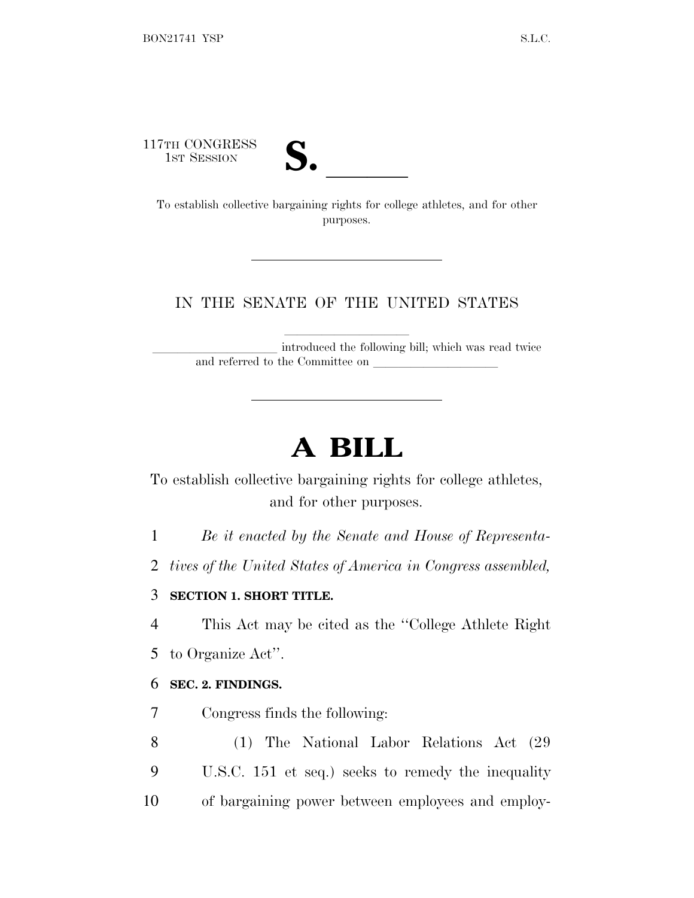117TH CONGRESS



TTH CONGRESS<br>
1ST SESSION<br>
To establish collective bargaining rights for college athletes, and for other purposes.

### IN THE SENATE OF THE UNITED STATES

introduced the following bill; which was read twice and referred to the Committee on

# **A BILL**

To establish collective bargaining rights for college athletes, and for other purposes.

1 *Be it enacted by the Senate and House of Representa-*

2 *tives of the United States of America in Congress assembled,*

#### 3 **SECTION 1. SHORT TITLE.**

4 This Act may be cited as the ''College Athlete Right

5 to Organize Act''.

#### 6 **SEC. 2. FINDINGS.**

7 Congress finds the following:

8 (1) The National Labor Relations Act (29 9 U.S.C. 151 et seq.) seeks to remedy the inequality 10 of bargaining power between employees and employ-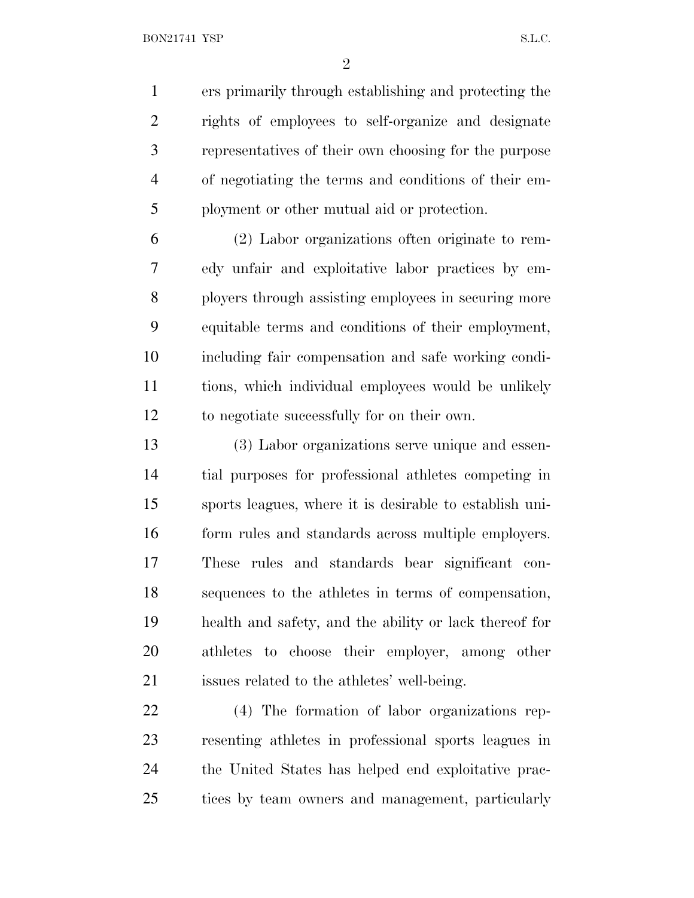ers primarily through establishing and protecting the rights of employees to self-organize and designate representatives of their own choosing for the purpose of negotiating the terms and conditions of their em-ployment or other mutual aid or protection.

 (2) Labor organizations often originate to rem- edy unfair and exploitative labor practices by em- ployers through assisting employees in securing more equitable terms and conditions of their employment, including fair compensation and safe working condi- tions, which individual employees would be unlikely to negotiate successfully for on their own.

 (3) Labor organizations serve unique and essen- tial purposes for professional athletes competing in sports leagues, where it is desirable to establish uni- form rules and standards across multiple employers. These rules and standards bear significant con- sequences to the athletes in terms of compensation, health and safety, and the ability or lack thereof for athletes to choose their employer, among other issues related to the athletes' well-being.

 (4) The formation of labor organizations rep- resenting athletes in professional sports leagues in the United States has helped end exploitative prac-tices by team owners and management, particularly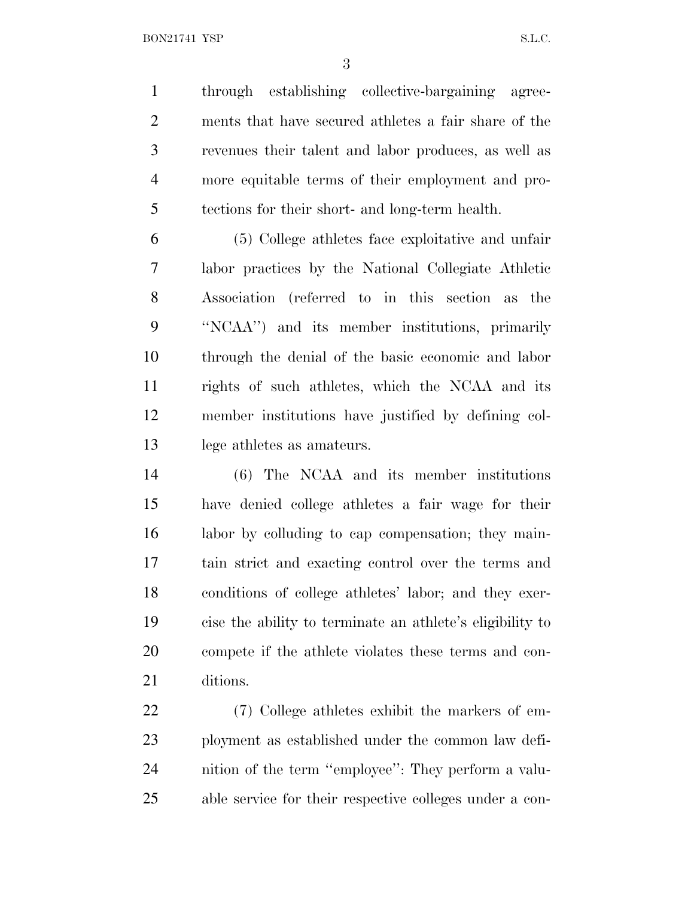through establishing collective-bargaining agree- ments that have secured athletes a fair share of the revenues their talent and labor produces, as well as more equitable terms of their employment and pro-tections for their short- and long-term health.

 (5) College athletes face exploitative and unfair labor practices by the National Collegiate Athletic Association (referred to in this section as the ''NCAA'') and its member institutions, primarily through the denial of the basic economic and labor rights of such athletes, which the NCAA and its member institutions have justified by defining col-lege athletes as amateurs.

 (6) The NCAA and its member institutions have denied college athletes a fair wage for their labor by colluding to cap compensation; they main- tain strict and exacting control over the terms and conditions of college athletes' labor; and they exer- cise the ability to terminate an athlete's eligibility to compete if the athlete violates these terms and con-ditions.

 (7) College athletes exhibit the markers of em- ployment as established under the common law defi- nition of the term ''employee'': They perform a valu-able service for their respective colleges under a con-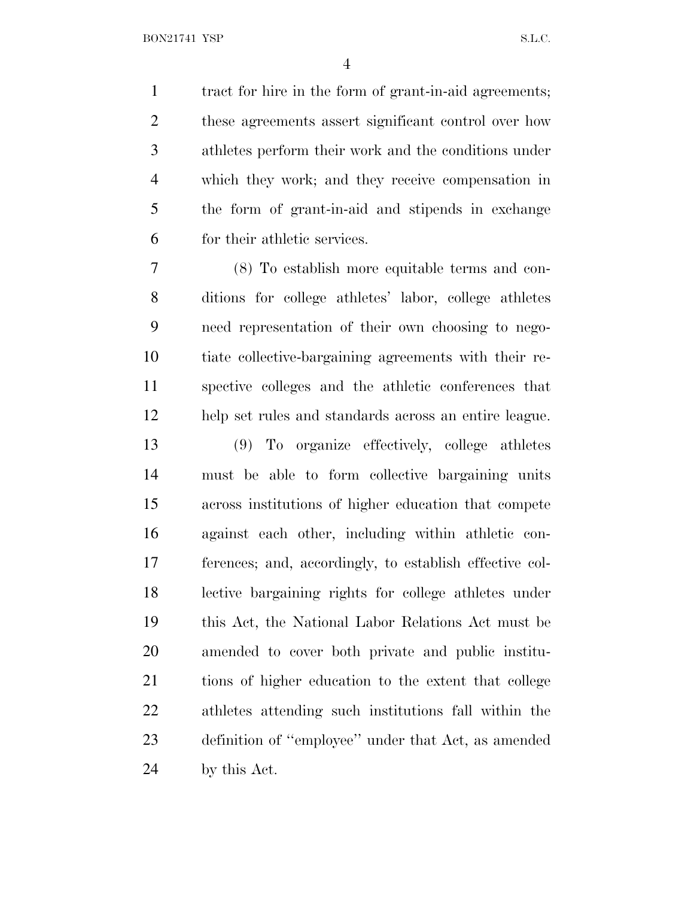tract for hire in the form of grant-in-aid agreements; these agreements assert significant control over how athletes perform their work and the conditions under which they work; and they receive compensation in the form of grant-in-aid and stipends in exchange for their athletic services.

 (8) To establish more equitable terms and con- ditions for college athletes' labor, college athletes need representation of their own choosing to nego- tiate collective-bargaining agreements with their re- spective colleges and the athletic conferences that help set rules and standards across an entire league.

 (9) To organize effectively, college athletes must be able to form collective bargaining units across institutions of higher education that compete against each other, including within athletic con- ferences; and, accordingly, to establish effective col- lective bargaining rights for college athletes under this Act, the National Labor Relations Act must be amended to cover both private and public institu- tions of higher education to the extent that college athletes attending such institutions fall within the definition of ''employee'' under that Act, as amended by this Act.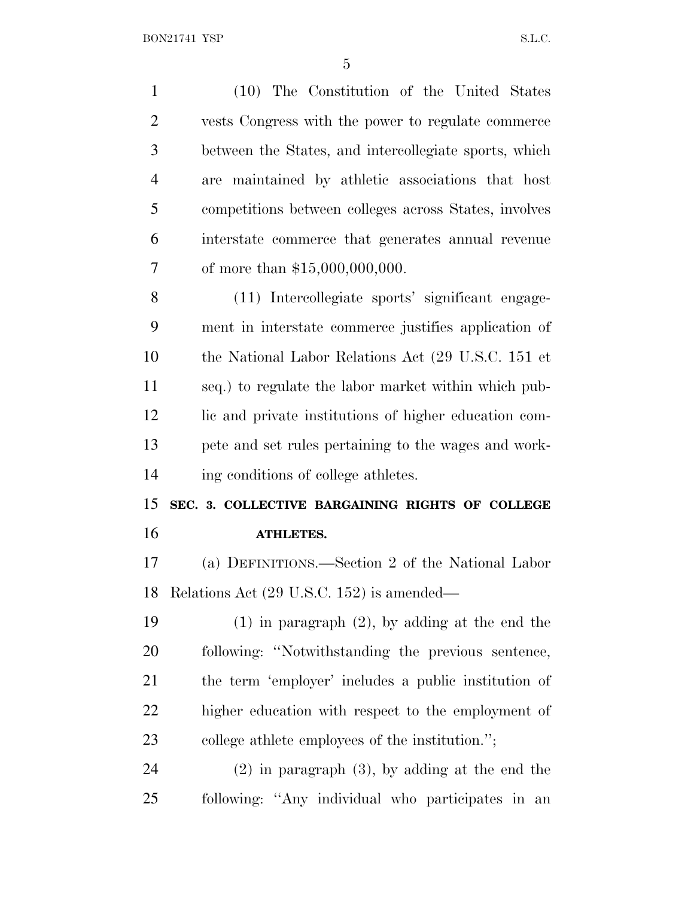(10) The Constitution of the United States vests Congress with the power to regulate commerce between the States, and intercollegiate sports, which are maintained by athletic associations that host competitions between colleges across States, involves interstate commerce that generates annual revenue of more than \$15,000,000,000. (11) Intercollegiate sports' significant engage- ment in interstate commerce justifies application of the National Labor Relations Act (29 U.S.C. 151 et seq.) to regulate the labor market within which pub- lic and private institutions of higher education com- pete and set rules pertaining to the wages and work- ing conditions of college athletes. **SEC. 3. COLLECTIVE BARGAINING RIGHTS OF COLLEGE ATHLETES.** (a) DEFINITIONS.—Section 2 of the National Labor Relations Act (29 U.S.C. 152) is amended— (1) in paragraph (2), by adding at the end the following: ''Notwithstanding the previous sentence, the term 'employer' includes a public institution of higher education with respect to the employment of college athlete employees of the institution.''; (2) in paragraph (3), by adding at the end the following: ''Any individual who participates in an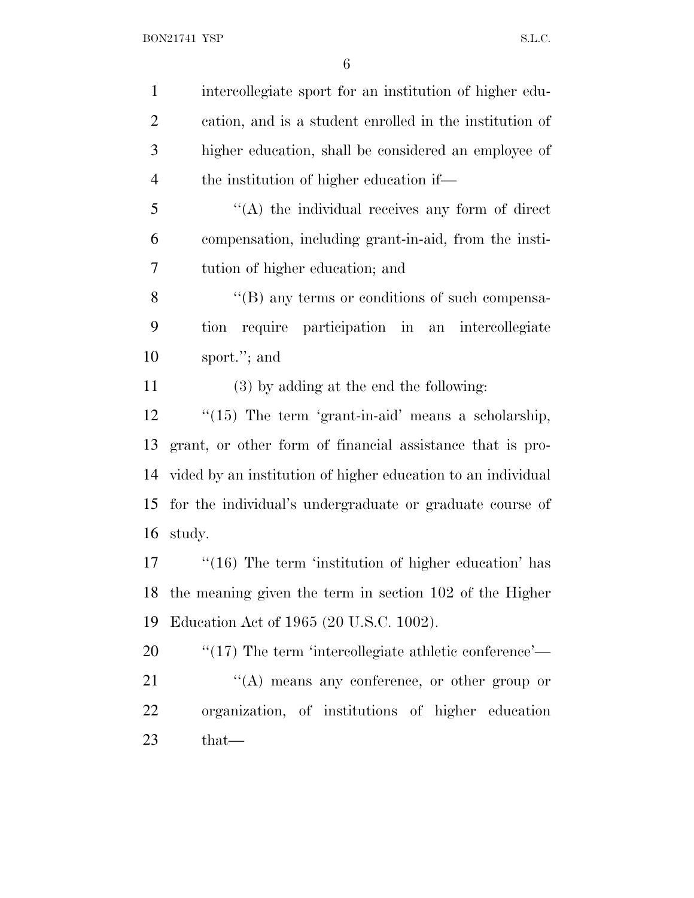intercollegiate sport for an institution of higher edu- cation, and is a student enrolled in the institution of higher education, shall be considered an employee of the institution of higher education if— ''(A) the individual receives any form of direct compensation, including grant-in-aid, from the insti- tution of higher education; and 8 "(B) any terms or conditions of such compensa- tion require participation in an intercollegiate sport.''; and (3) by adding at the end the following:

12 "(15) The term 'grant-in-aid' means a scholarship, grant, or other form of financial assistance that is pro- vided by an institution of higher education to an individual for the individual's undergraduate or graduate course of study.

17 ''(16) The term 'institution of higher education' has the meaning given the term in section 102 of the Higher Education Act of 1965 (20 U.S.C. 1002).

 $\frac{1}{20}$  (17) The term 'intercollegiate athletic conference'— "(A) means any conference, or other group or organization, of institutions of higher education that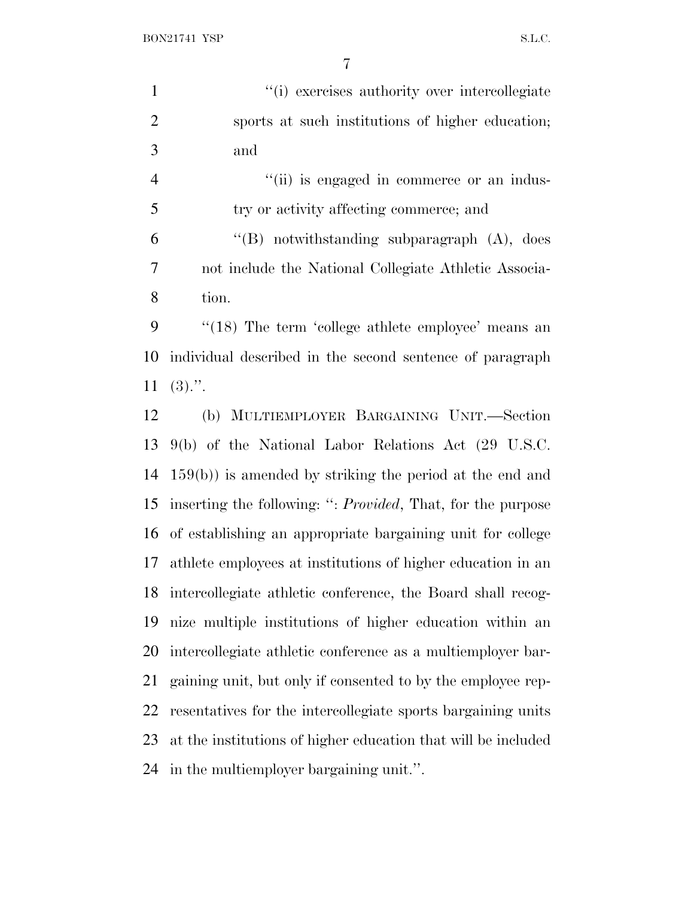BON21741 YSP S.L.C.

1  $\gamma$  (i) exercises authority over intercollegiate sports at such institutions of higher education; and

 $"$ (ii) is engaged in commerce or an indus- try or activity affecting commerce; and "(B) notwithstanding subparagraph  $(A)$ , does not include the National Collegiate Athletic Associa-tion.

 ''(18) The term 'college athlete employee' means an individual described in the second sentence of paragraph  $11 \quad (3)$ .".

 (b) MULTIEMPLOYER BARGAINING UNIT.—Section 9(b) of the National Labor Relations Act (29 U.S.C. 159(b)) is amended by striking the period at the end and inserting the following: '': *Provided*, That, for the purpose of establishing an appropriate bargaining unit for college athlete employees at institutions of higher education in an intercollegiate athletic conference, the Board shall recog- nize multiple institutions of higher education within an intercollegiate athletic conference as a multiemployer bar- gaining unit, but only if consented to by the employee rep- resentatives for the intercollegiate sports bargaining units at the institutions of higher education that will be included in the multiemployer bargaining unit.''.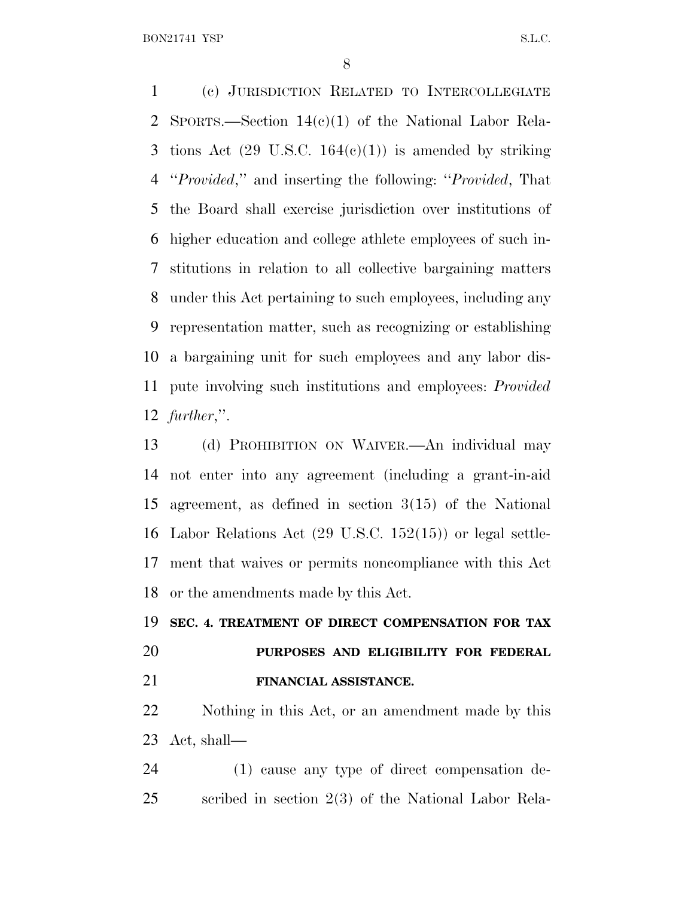BON21741 YSP S.L.C.

 (c) JURISDICTION RELATED TO INTERCOLLEGIATE SPORTS.—Section 14(c)(1) of the National Labor Rela-3 tions Act  $(29 \text{ U.S.C. } 164(e)(1))$  is amended by striking ''*Provided*,'' and inserting the following: ''*Provided*, That the Board shall exercise jurisdiction over institutions of higher education and college athlete employees of such in- stitutions in relation to all collective bargaining matters under this Act pertaining to such employees, including any representation matter, such as recognizing or establishing a bargaining unit for such employees and any labor dis- pute involving such institutions and employees: *Provided further*,''.

 (d) PROHIBITION ON WAIVER.—An individual may not enter into any agreement (including a grant-in-aid agreement, as defined in section 3(15) of the National Labor Relations Act (29 U.S.C. 152(15)) or legal settle- ment that waives or permits noncompliance with this Act or the amendments made by this Act.

#### **SEC. 4. TREATMENT OF DIRECT COMPENSATION FOR TAX**

## **PURPOSES AND ELIGIBILITY FOR FEDERAL FINANCIAL ASSISTANCE.**

 Nothing in this Act, or an amendment made by this Act, shall—

 (1) cause any type of direct compensation de-scribed in section 2(3) of the National Labor Rela-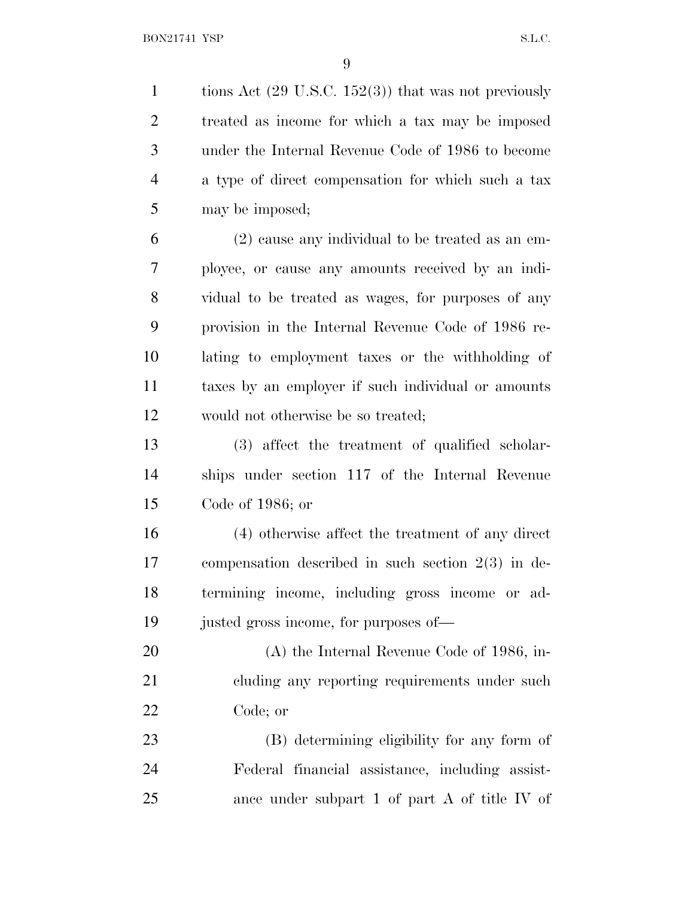1 tions Act (29 U.S.C. 152(3)) that was not previously treated as income for which a tax may be imposed under the Internal Revenue Code of 1986 to become a type of direct compensation for which such a tax may be imposed;

 (2) cause any individual to be treated as an em- ployee, or cause any amounts received by an indi- vidual to be treated as wages, for purposes of any provision in the Internal Revenue Code of 1986 re- lating to employment taxes or the withholding of taxes by an employer if such individual or amounts would not otherwise be so treated;

 (3) affect the treatment of qualified scholar- ships under section 117 of the Internal Revenue Code of 1986; or

 (4) otherwise affect the treatment of any direct compensation described in such section 2(3) in de- termining income, including gross income or ad-justed gross income, for purposes of—

 (A) the Internal Revenue Code of 1986, in-21 cluding any reporting requirements under such Code; or

 (B) determining eligibility for any form of Federal financial assistance, including assist-ance under subpart 1 of part A of title IV of